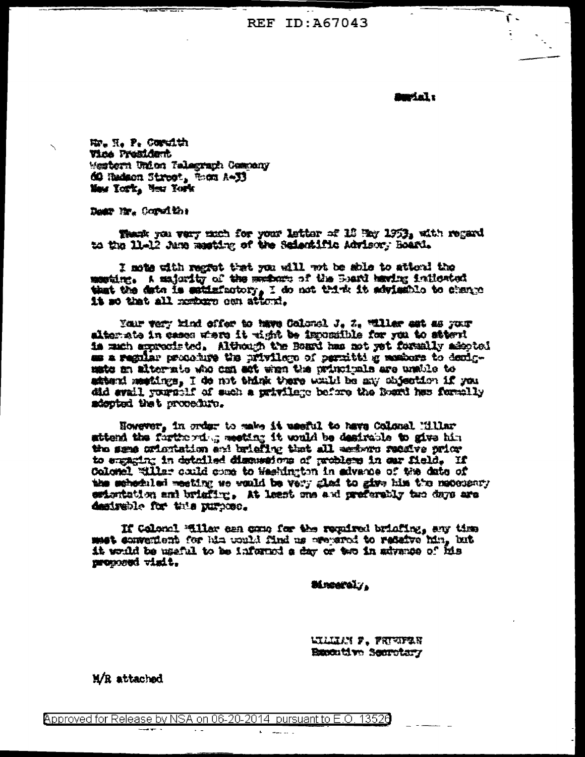**REF ID: A67043** 

*Talvan* 

ſ.

No. N. P. Cordith Vice President Mestern Union Telegraph Cemeny 60 Hadson Street, fines A-33 Mass Tork, Mess Towle

Down live Coroline

Thank you vary mich for your letter of 18 Hay 1953, with regard to the 11-12 Anne meeting of the Scientific Advisory Board.

I mate with regret that you will not be shie to attoni the member. A majority of the members of the Board having indicated that the date is satisfactory, I do not think it advisable to change it so that all methors con attend.

Your very kind offer to have Colonel J. Z. Willer ast as your alterate in cases when it wish be impossible for you to stownt is much appreciated. Although the Board has not yet formally adopted as a regular procedure the privilege of permitting members to demigmate an alternate who can set when the principals are unside to attend metings, I de not think there waild be any objection if you did avail yourself of such a privilege before the Roard has formally sdepted that procedure.

However, in order to make it useful to have Colonal Millar sttend the furtherdog meting it would be desirable to give him the same orientation and briefing that all eachers receive prior to engaging in detailed discussions of problems in our field, If Colonel Willar could some to Washington in advance of the date of the scheduled meeting so would be very glad to give him the mateusary estantation and brightne, At least one and preferably two days are desiveble for this nurbose.

If Gelond Willer can come for the regulard brinding, any time met convenient for him would find us oreganed to referve him, but it would be useful to be informed a day or two in advance of his proceeded visit.

**Mrearaly.** 

**WILLIN P. FRIVIERN Baxontive Secretary** 

M/R attached

Approved for Release by NSA on 06-20-2014 pursuant to E.O. 13520